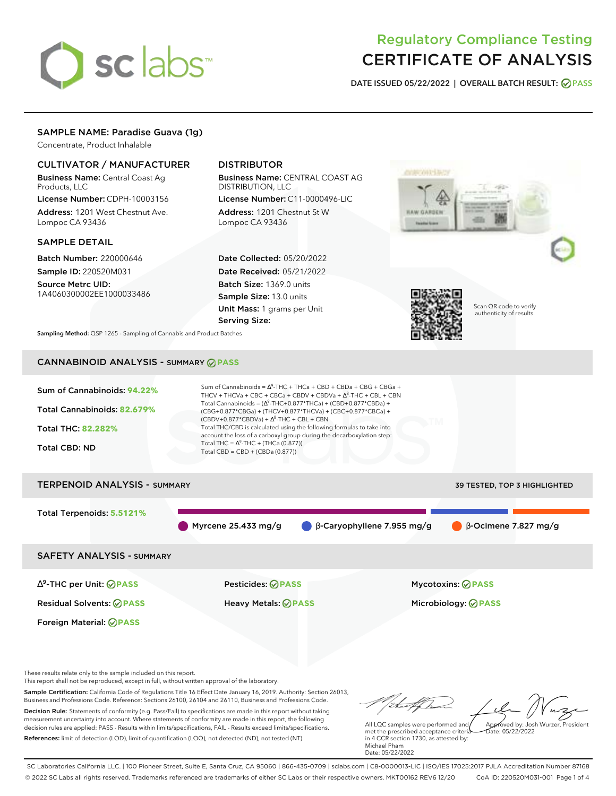# sclabs<sup>\*</sup>

## Regulatory Compliance Testing CERTIFICATE OF ANALYSIS

**DATE ISSUED 05/22/2022 | OVERALL BATCH RESULT: PASS**

## SAMPLE NAME: Paradise Guava (1g)

Concentrate, Product Inhalable

### CULTIVATOR / MANUFACTURER

Business Name: Central Coast Ag Products, LLC

License Number: CDPH-10003156 Address: 1201 West Chestnut Ave. Lompoc CA 93436

#### SAMPLE DETAIL

Batch Number: 220000646 Sample ID: 220520M031

Source Metrc UID: 1A4060300002EE1000033486

## DISTRIBUTOR

Business Name: CENTRAL COAST AG DISTRIBUTION, LLC

License Number: C11-0000496-LIC Address: 1201 Chestnut St W Lompoc CA 93436

Date Collected: 05/20/2022 Date Received: 05/21/2022 Batch Size: 1369.0 units Sample Size: 13.0 units Unit Mass: 1 grams per Unit Serving Size:





Scan QR code to verify authenticity of results.

**Sampling Method:** QSP 1265 - Sampling of Cannabis and Product Batches

## CANNABINOID ANALYSIS - SUMMARY **PASS**

| Sum of Cannabinoids: 94.22%<br>Total Cannabinoids: 82.679%<br><b>Total THC: 82.282%</b><br><b>Total CBD: ND</b> | Sum of Cannabinoids = $\Delta^9$ -THC + THCa + CBD + CBDa + CBG + CBGa +<br>THCV + THCVa + CBC + CBCa + CBDV + CBDVa + $\Delta^8$ -THC + CBL + CBN<br>Total Cannabinoids = $(\Delta^9$ -THC+0.877*THCa) + (CBD+0.877*CBDa) +<br>(CBG+0.877*CBGa) + (THCV+0.877*THCVa) + (CBC+0.877*CBCa) +<br>$(CBDV+0.877*CBDVa) + \Delta^8$ -THC + CBL + CBN<br>Total THC/CBD is calculated using the following formulas to take into<br>account the loss of a carboxyl group during the decarboxylation step:<br>Total THC = $\Delta^9$ -THC + (THCa (0.877))<br>Total CBD = $CBD + (CBDa (0.877))$ |                                     |
|-----------------------------------------------------------------------------------------------------------------|----------------------------------------------------------------------------------------------------------------------------------------------------------------------------------------------------------------------------------------------------------------------------------------------------------------------------------------------------------------------------------------------------------------------------------------------------------------------------------------------------------------------------------------------------------------------------------------|-------------------------------------|
| <b>TERPENOID ANALYSIS - SUMMARY</b>                                                                             |                                                                                                                                                                                                                                                                                                                                                                                                                                                                                                                                                                                        | <b>39 TESTED, TOP 3 HIGHLIGHTED</b> |
| Total Terpenoids: 5.5121%                                                                                       | $\beta$ -Caryophyllene 7.955 mg/g<br>Myrcene 25.433 mg/g                                                                                                                                                                                                                                                                                                                                                                                                                                                                                                                               | $\beta$ -Ocimene 7.827 mg/g         |

SAFETY ANALYSIS - SUMMARY

∆ 9 -THC per Unit: **PASS** Pesticides: **PASS** Mycotoxins: **PASS**

Foreign Material: **PASS**

Residual Solvents: **PASS** Heavy Metals: **PASS** Microbiology: **PASS**

These results relate only to the sample included on this report.

This report shall not be reproduced, except in full, without written approval of the laboratory.

Sample Certification: California Code of Regulations Title 16 Effect Date January 16, 2019. Authority: Section 26013, Business and Professions Code. Reference: Sections 26100, 26104 and 26110, Business and Professions Code. Decision Rule: Statements of conformity (e.g. Pass/Fail) to specifications are made in this report without taking measurement uncertainty into account. Where statements of conformity are made in this report, the following decision rules are applied: PASS - Results within limits/specifications, FAIL - Results exceed limits/specifications.

References: limit of detection (LOD), limit of quantification (LOQ), not detected (ND), not tested (NT)

Approved by: Josh Wurzer, President

 $ate: 05/22/2022$ 

All LQC samples were performed and met the prescribed acceptance criteria in 4 CCR section 1730, as attested by: Michael Pham Date: 05/22/2022

SC Laboratories California LLC. | 100 Pioneer Street, Suite E, Santa Cruz, CA 95060 | 866-435-0709 | sclabs.com | C8-0000013-LIC | ISO/IES 17025:2017 PJLA Accreditation Number 87168 © 2022 SC Labs all rights reserved. Trademarks referenced are trademarks of either SC Labs or their respective owners. MKT00162 REV6 12/20 CoA ID: 220520M031-001 Page 1 of 4